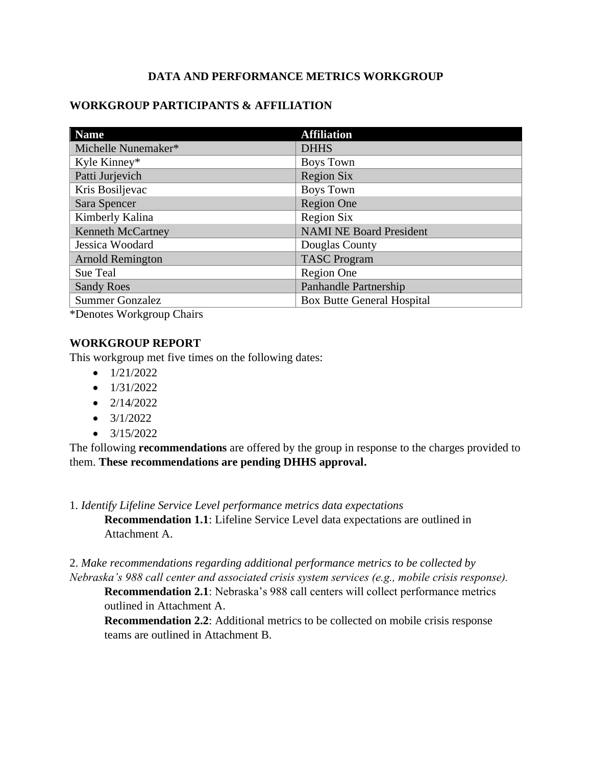## **DATA AND PERFORMANCE METRICS WORKGROUP**

## **WORKGROUP PARTICIPANTS & AFFILIATION**

| <b>Name</b>              | <b>Affiliation</b>                |
|--------------------------|-----------------------------------|
| Michelle Nunemaker*      | <b>DHHS</b>                       |
| Kyle Kinney*             | <b>Boys Town</b>                  |
| Patti Jurjevich          | <b>Region Six</b>                 |
| Kris Bosiljevac          | <b>Boys Town</b>                  |
| Sara Spencer             | <b>Region One</b>                 |
| Kimberly Kalina          | <b>Region Six</b>                 |
| <b>Kenneth McCartney</b> | <b>NAMI NE Board President</b>    |
| Jessica Woodard          | Douglas County                    |
| <b>Arnold Remington</b>  | <b>TASC Program</b>               |
| Sue Teal                 | Region One                        |
| <b>Sandy Roes</b>        | Panhandle Partnership             |
| <b>Summer Gonzalez</b>   | <b>Box Butte General Hospital</b> |

\*Denotes Workgroup Chairs

#### **WORKGROUP REPORT**

This workgroup met five times on the following dates:

- $\bullet$  1/21/2022
- $\bullet$  1/31/2022
- $\bullet$  2/14/2022
- $\bullet$  3/1/2022
- $\bullet$  3/15/2022

The following **recommendations** are offered by the group in response to the charges provided to them. **These recommendations are pending DHHS approval.**

1*. Identify Lifeline Service Level performance metrics data expectations* **Recommendation 1.1**: Lifeline Service Level data expectations are outlined in Attachment A.

2. *Make recommendations regarding additional performance metrics to be collected by Nebraska's 988 call center and associated crisis system services (e.g., mobile crisis response).*

**Recommendation 2.1**: Nebraska's 988 call centers will collect performance metrics outlined in Attachment A.

**Recommendation 2.2**: Additional metrics to be collected on mobile crisis response teams are outlined in Attachment B.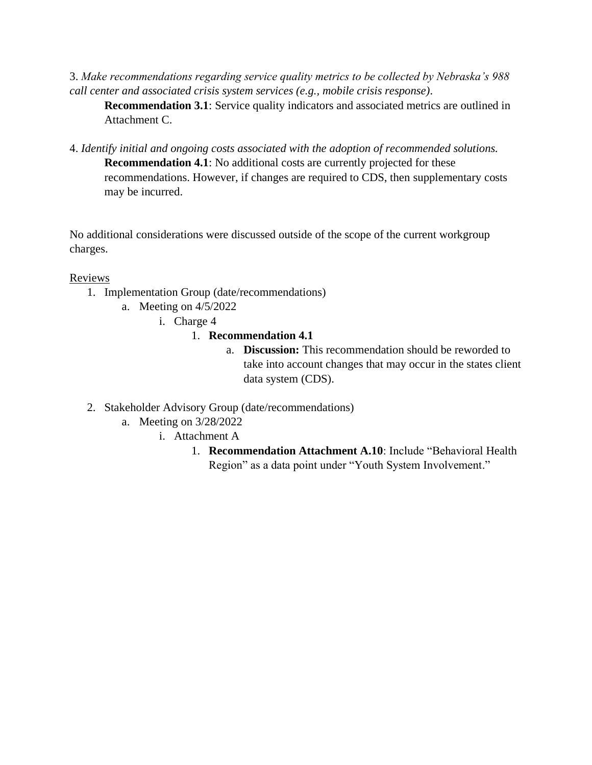3. *Make recommendations regarding service quality metrics to be collected by Nebraska's 988 call center and associated crisis system services (e.g., mobile crisis response).*

**Recommendation 3.1**: Service quality indicators and associated metrics are outlined in Attachment C.

4. *Identify initial and ongoing costs associated with the adoption of recommended solutions.* **Recommendation 4.1**: No additional costs are currently projected for these recommendations. However, if changes are required to CDS, then supplementary costs may be incurred.

No additional considerations were discussed outside of the scope of the current workgroup charges.

#### **Reviews**

- 1. Implementation Group (date/recommendations)
	- a. Meeting on 4/5/2022
		- i. Charge 4
			- 1. **Recommendation 4.1**
				- a. **Discussion:** This recommendation should be reworded to take into account changes that may occur in the states client data system (CDS).
- 2. Stakeholder Advisory Group (date/recommendations)
	- a. Meeting on 3/28/2022
		- i. Attachment A
			- 1. **Recommendation Attachment A.10**: Include "Behavioral Health Region" as a data point under "Youth System Involvement."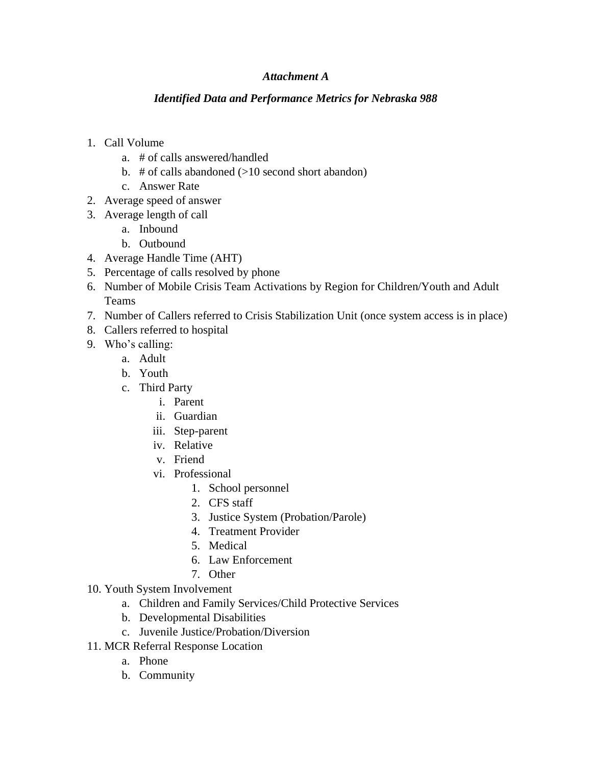#### *Attachment A*

#### *Identified Data and Performance Metrics for Nebraska 988*

- 1. Call Volume
	- a. # of calls answered/handled
	- b.  $\#$  of calls abandoned ( $>10$  second short abandon)
	- c. Answer Rate
- 2. Average speed of answer
- 3. Average length of call
	- a. Inbound
	- b. Outbound
- 4. Average Handle Time (AHT)
- 5. Percentage of calls resolved by phone
- 6. Number of Mobile Crisis Team Activations by Region for Children/Youth and Adult Teams
- 7. Number of Callers referred to Crisis Stabilization Unit (once system access is in place)
- 8. Callers referred to hospital
- 9. Who's calling:
	- a. Adult
	- b. Youth
	- c. Third Party
		- i. Parent
		- ii. Guardian
		- iii. Step-parent
		- iv. Relative
		- v. Friend
		- vi. Professional
			- 1. School personnel
			- 2. CFS staff
			- 3. Justice System (Probation/Parole)
			- 4. Treatment Provider
			- 5. Medical
			- 6. Law Enforcement
			- 7. Other
- 10. Youth System Involvement
	- a. Children and Family Services/Child Protective Services
	- b. Developmental Disabilities
	- c. Juvenile Justice/Probation/Diversion
- 11. MCR Referral Response Location
	- a. Phone
	- b. Community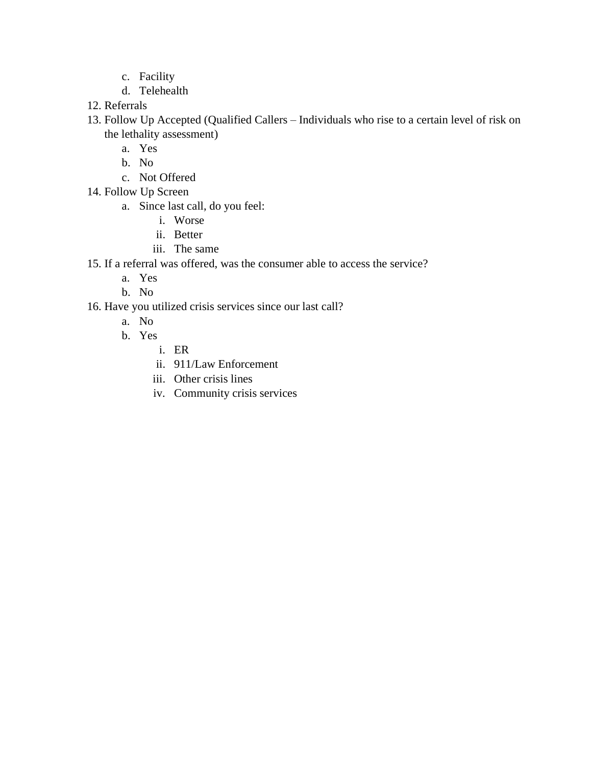- c. Facility
- d. Telehealth
- 12. Referrals
- 13. Follow Up Accepted (Qualified Callers Individuals who rise to a certain level of risk on the lethality assessment)
	- a. Yes
	- b. No
	- c. Not Offered
- 14. Follow Up Screen
	- a. Since last call, do you feel:
		- i. Worse
		- ii. Better
		- iii. The same
- 15. If a referral was offered, was the consumer able to access the service?
	- a. Yes
	- b. No
- 16. Have you utilized crisis services since our last call?
	- a. No
	- b. Yes
		- i. ER
		- ii. 911/Law Enforcement
		- iii. Other crisis lines
		- iv. Community crisis services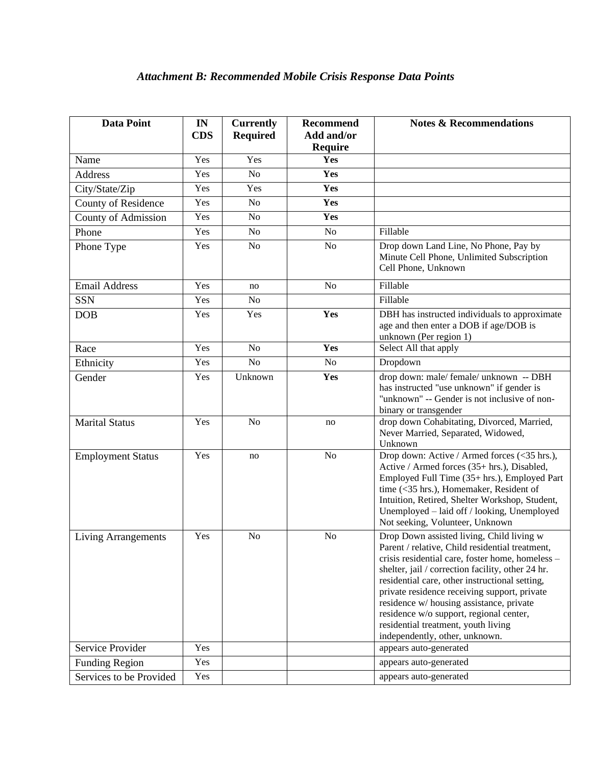| <b>Data Point</b>          | IN<br><b>CDS</b> | <b>Currently</b><br><b>Required</b> | <b>Recommend</b><br>Add and/or<br><b>Require</b> | <b>Notes &amp; Recommendations</b>                                                                                                                                                                                                                                                                                                                                                                                                                                      |
|----------------------------|------------------|-------------------------------------|--------------------------------------------------|-------------------------------------------------------------------------------------------------------------------------------------------------------------------------------------------------------------------------------------------------------------------------------------------------------------------------------------------------------------------------------------------------------------------------------------------------------------------------|
| Name                       | Yes              | Yes                                 | Yes                                              |                                                                                                                                                                                                                                                                                                                                                                                                                                                                         |
| <b>Address</b>             | Yes              | N <sub>o</sub>                      | Yes                                              |                                                                                                                                                                                                                                                                                                                                                                                                                                                                         |
| City/State/Zip             | Yes              | Yes                                 | Yes                                              |                                                                                                                                                                                                                                                                                                                                                                                                                                                                         |
| County of Residence        | Yes              | N <sub>o</sub>                      | Yes                                              |                                                                                                                                                                                                                                                                                                                                                                                                                                                                         |
| County of Admission        | Yes              | N <sub>o</sub>                      | Yes                                              |                                                                                                                                                                                                                                                                                                                                                                                                                                                                         |
| Phone                      | Yes              | N <sub>o</sub>                      | <b>No</b>                                        | Fillable                                                                                                                                                                                                                                                                                                                                                                                                                                                                |
| Phone Type                 | Yes              | No                                  | N <sub>o</sub>                                   | Drop down Land Line, No Phone, Pay by<br>Minute Cell Phone, Unlimited Subscription<br>Cell Phone, Unknown                                                                                                                                                                                                                                                                                                                                                               |
| <b>Email Address</b>       | Yes              | no                                  | N <sub>o</sub>                                   | Fillable                                                                                                                                                                                                                                                                                                                                                                                                                                                                |
| <b>SSN</b>                 | Yes              | N <sub>0</sub>                      |                                                  | Fillable                                                                                                                                                                                                                                                                                                                                                                                                                                                                |
| <b>DOB</b>                 | Yes              | Yes                                 | Yes                                              | DBH has instructed individuals to approximate<br>age and then enter a DOB if age/DOB is<br>unknown (Per region 1)                                                                                                                                                                                                                                                                                                                                                       |
| Race                       | Yes              | N <sub>o</sub>                      | Yes                                              | Select All that apply                                                                                                                                                                                                                                                                                                                                                                                                                                                   |
| Ethnicity                  | Yes              | N <sub>o</sub>                      | N <sub>o</sub>                                   | Dropdown                                                                                                                                                                                                                                                                                                                                                                                                                                                                |
| Gender                     | Yes              | Unknown                             | Yes                                              | drop down: male/ female/ unknown -- DBH<br>has instructed "use unknown" if gender is<br>"unknown" -- Gender is not inclusive of non-<br>binary or transgender                                                                                                                                                                                                                                                                                                           |
| <b>Marital Status</b>      | Yes              | N <sub>o</sub>                      | no                                               | drop down Cohabitating, Divorced, Married,<br>Never Married, Separated, Widowed,<br>Unknown                                                                                                                                                                                                                                                                                                                                                                             |
| <b>Employment Status</b>   | Yes              | no                                  | N <sub>o</sub>                                   | Drop down: Active / Armed forces (<35 hrs.),<br>Active / Armed forces (35+ hrs.), Disabled,<br>Employed Full Time (35+ hrs.), Employed Part<br>time (<35 hrs.), Homemaker, Resident of<br>Intuition, Retired, Shelter Workshop, Student,<br>Unemployed - laid off / looking, Unemployed<br>Not seeking, Volunteer, Unknown                                                                                                                                              |
| <b>Living Arrangements</b> | Yes              | N <sub>o</sub>                      | N <sub>o</sub>                                   | Drop Down assisted living, Child living w<br>Parent / relative, Child residential treatment,<br>crisis residential care, foster home, homeless -<br>shelter, jail / correction facility, other 24 hr.<br>residential care, other instructional setting,<br>private residence receiving support, private<br>residence w/ housing assistance, private<br>residence w/o support, regional center,<br>residential treatment, youth living<br>independently, other, unknown. |
| Service Provider           | Yes              |                                     |                                                  | appears auto-generated                                                                                                                                                                                                                                                                                                                                                                                                                                                  |
| <b>Funding Region</b>      | Yes              |                                     |                                                  | appears auto-generated                                                                                                                                                                                                                                                                                                                                                                                                                                                  |
| Services to be Provided    | Yes              |                                     |                                                  | appears auto-generated                                                                                                                                                                                                                                                                                                                                                                                                                                                  |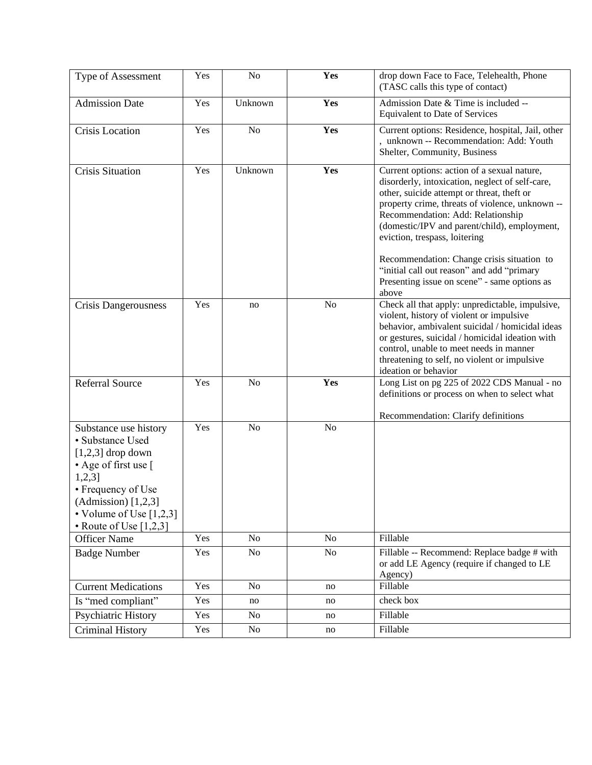| Type of Assessment                                                                                                                                                                                            | Yes | No             | Yes            | drop down Face to Face, Telehealth, Phone<br>(TASC calls this type of contact)                                                                                                                                                                                                                                                                                                                                                                                             |
|---------------------------------------------------------------------------------------------------------------------------------------------------------------------------------------------------------------|-----|----------------|----------------|----------------------------------------------------------------------------------------------------------------------------------------------------------------------------------------------------------------------------------------------------------------------------------------------------------------------------------------------------------------------------------------------------------------------------------------------------------------------------|
| <b>Admission Date</b>                                                                                                                                                                                         | Yes | Unknown        | Yes            | Admission Date & Time is included --<br>Equivalent to Date of Services                                                                                                                                                                                                                                                                                                                                                                                                     |
| Crisis Location                                                                                                                                                                                               | Yes | N <sub>o</sub> | Yes            | Current options: Residence, hospital, Jail, other<br>, unknown -- Recommendation: Add: Youth<br>Shelter, Community, Business                                                                                                                                                                                                                                                                                                                                               |
| <b>Crisis Situation</b>                                                                                                                                                                                       | Yes | Unknown        | Yes            | Current options: action of a sexual nature,<br>disorderly, intoxication, neglect of self-care,<br>other, suicide attempt or threat, theft or<br>property crime, threats of violence, unknown --<br>Recommendation: Add: Relationship<br>(domestic/IPV and parent/child), employment,<br>eviction, trespass, loitering<br>Recommendation: Change crisis situation to<br>"initial call out reason" and add "primary<br>Presenting issue on scene" - same options as<br>above |
| Crisis Dangerousness                                                                                                                                                                                          | Yes | no             | N <sub>o</sub> | Check all that apply: unpredictable, impulsive,<br>violent, history of violent or impulsive<br>behavior, ambivalent suicidal / homicidal ideas<br>or gestures, suicidal / homicidal ideation with<br>control, unable to meet needs in manner<br>threatening to self, no violent or impulsive<br>ideation or behavior                                                                                                                                                       |
| <b>Referral Source</b>                                                                                                                                                                                        | Yes | No             | Yes            | Long List on pg 225 of 2022 CDS Manual - no<br>definitions or process on when to select what<br>Recommendation: Clarify definitions                                                                                                                                                                                                                                                                                                                                        |
| Substance use history<br>• Substance Used<br>$[1,2,3]$ drop down<br>• Age of first use [<br>$1,2,3$ ]<br>• Frequency of Use<br>$(Admission)$ [1,2,3]<br>• Volume of Use $[1,2,3]$<br>• Route of Use $[1,2,3]$ | Yes | No             | No             |                                                                                                                                                                                                                                                                                                                                                                                                                                                                            |
| <b>Officer Name</b>                                                                                                                                                                                           | Yes | No             | No             | Fillable                                                                                                                                                                                                                                                                                                                                                                                                                                                                   |
| <b>Badge Number</b>                                                                                                                                                                                           | Yes | No             | No             | Fillable -- Recommend: Replace badge # with<br>or add LE Agency (require if changed to LE<br>Agency)                                                                                                                                                                                                                                                                                                                                                                       |
| <b>Current Medications</b>                                                                                                                                                                                    | Yes | N <sub>o</sub> | no             | Fillable                                                                                                                                                                                                                                                                                                                                                                                                                                                                   |
| Is "med compliant"                                                                                                                                                                                            | Yes | no             | no             | check box                                                                                                                                                                                                                                                                                                                                                                                                                                                                  |
| Psychiatric History                                                                                                                                                                                           | Yes | No             | no             | Fillable                                                                                                                                                                                                                                                                                                                                                                                                                                                                   |
| <b>Criminal History</b>                                                                                                                                                                                       | Yes | No             | no             | Fillable                                                                                                                                                                                                                                                                                                                                                                                                                                                                   |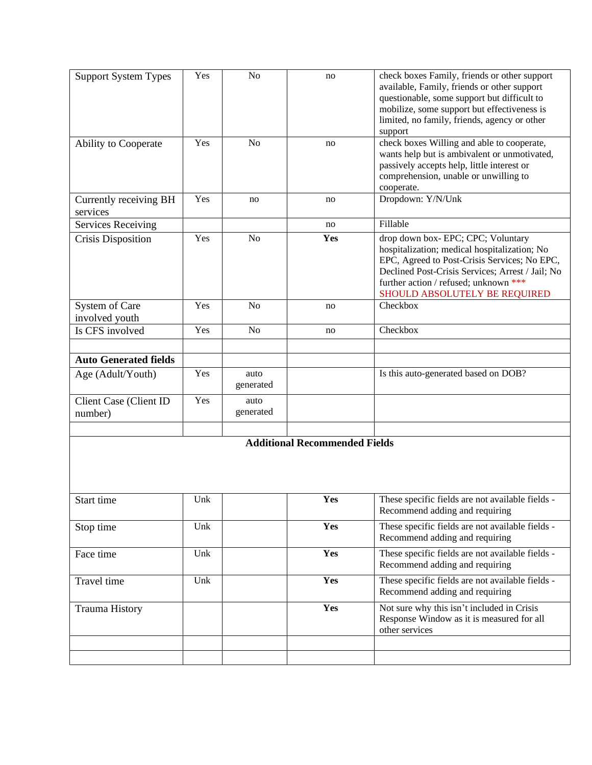| <b>Support System Types</b>              | Yes | No                | no                                   | check boxes Family, friends or other support<br>available, Family, friends or other support<br>questionable, some support but difficult to<br>mobilize, some support but effectiveness is<br>limited, no family, friends, agency or other<br>support             |
|------------------------------------------|-----|-------------------|--------------------------------------|------------------------------------------------------------------------------------------------------------------------------------------------------------------------------------------------------------------------------------------------------------------|
| Ability to Cooperate                     | Yes | N <sub>o</sub>    | no                                   | check boxes Willing and able to cooperate,<br>wants help but is ambivalent or unmotivated,<br>passively accepts help, little interest or<br>comprehension, unable or unwilling to<br>cooperate.                                                                  |
| Currently receiving BH<br>services       | Yes | no                | no                                   | Dropdown: Y/N/Unk                                                                                                                                                                                                                                                |
| <b>Services Receiving</b>                |     |                   | no                                   | Fillable                                                                                                                                                                                                                                                         |
| <b>Crisis Disposition</b>                | Yes | N <sub>o</sub>    | Yes                                  | drop down box- EPC; CPC; Voluntary<br>hospitalization; medical hospitalization; No<br>EPC, Agreed to Post-Crisis Services; No EPC,<br>Declined Post-Crisis Services; Arrest / Jail; No<br>further action / refused; unknown ***<br>SHOULD ABSOLUTELY BE REQUIRED |
| System of Care<br>involved youth         | Yes | N <sub>o</sub>    | no                                   | Checkbox                                                                                                                                                                                                                                                         |
| Is CFS involved                          | Yes | N <sub>o</sub>    | no                                   | Checkbox                                                                                                                                                                                                                                                         |
| <b>Auto Generated fields</b>             |     |                   |                                      |                                                                                                                                                                                                                                                                  |
| Age (Adult/Youth)                        | Yes | auto<br>generated |                                      | Is this auto-generated based on DOB?                                                                                                                                                                                                                             |
| <b>Client Case (Client ID</b><br>number) | Yes | auto<br>generated |                                      |                                                                                                                                                                                                                                                                  |
|                                          |     |                   |                                      |                                                                                                                                                                                                                                                                  |
|                                          |     |                   | <b>Additional Recommended Fields</b> |                                                                                                                                                                                                                                                                  |
| Start time                               | Unk |                   | Yes                                  | These specific fields are not available fields -<br>Recommend adding and requiring                                                                                                                                                                               |
| Stop time                                | Unk |                   | Yes                                  | These specific fields are not available fields -<br>Recommend adding and requiring                                                                                                                                                                               |
| Face time                                | Unk |                   | Yes                                  | These specific fields are not available fields -<br>Recommend adding and requiring                                                                                                                                                                               |
| Travel time                              | Unk |                   | Yes                                  | These specific fields are not available fields -<br>Recommend adding and requiring                                                                                                                                                                               |
| <b>Trauma History</b>                    |     |                   | Yes                                  | Not sure why this isn't included in Crisis<br>Response Window as it is measured for all<br>other services                                                                                                                                                        |
|                                          |     |                   |                                      |                                                                                                                                                                                                                                                                  |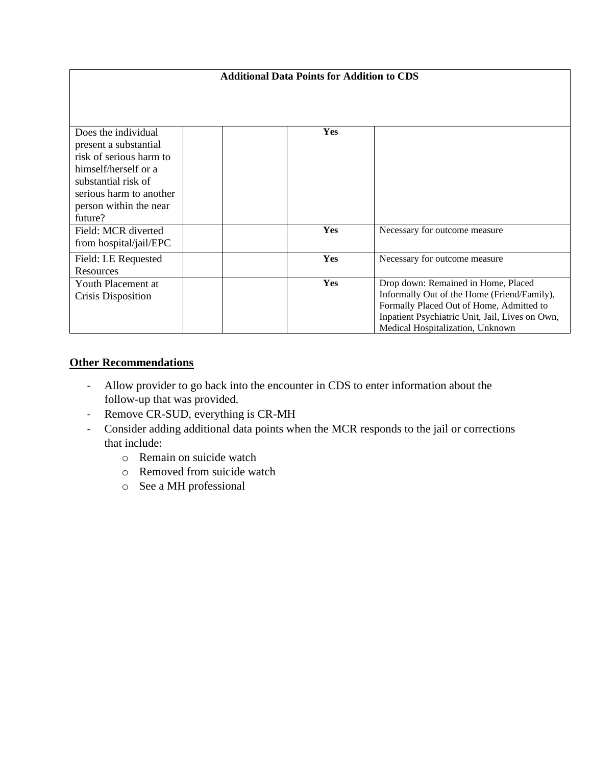| <b>Additional Data Points for Addition to CDS</b>                                                                                                                                      |            |                                                                                                                                                                                                                       |
|----------------------------------------------------------------------------------------------------------------------------------------------------------------------------------------|------------|-----------------------------------------------------------------------------------------------------------------------------------------------------------------------------------------------------------------------|
|                                                                                                                                                                                        |            |                                                                                                                                                                                                                       |
| Does the individual<br>present a substantial<br>risk of serious harm to<br>himself/herself or a<br>substantial risk of<br>serious harm to another<br>person within the near<br>future? | <b>Yes</b> |                                                                                                                                                                                                                       |
| Field: MCR diverted<br>from hospital/jail/EPC                                                                                                                                          | Yes        | Necessary for outcome measure                                                                                                                                                                                         |
| Field: LE Requested<br><b>Resources</b>                                                                                                                                                | Yes        | Necessary for outcome measure                                                                                                                                                                                         |
| Youth Placement at<br>Crisis Disposition                                                                                                                                               | Yes        | Drop down: Remained in Home, Placed<br>Informally Out of the Home (Friend/Family),<br>Formally Placed Out of Home, Admitted to<br>Inpatient Psychiatric Unit, Jail, Lives on Own,<br>Medical Hospitalization, Unknown |

## **Other Recommendations**

- Allow provider to go back into the encounter in CDS to enter information about the follow-up that was provided.
- Remove CR-SUD, everything is CR-MH
- Consider adding additional data points when the MCR responds to the jail or corrections that include:
	- o Remain on suicide watch
	- o Removed from suicide watch
	- o See a MH professional